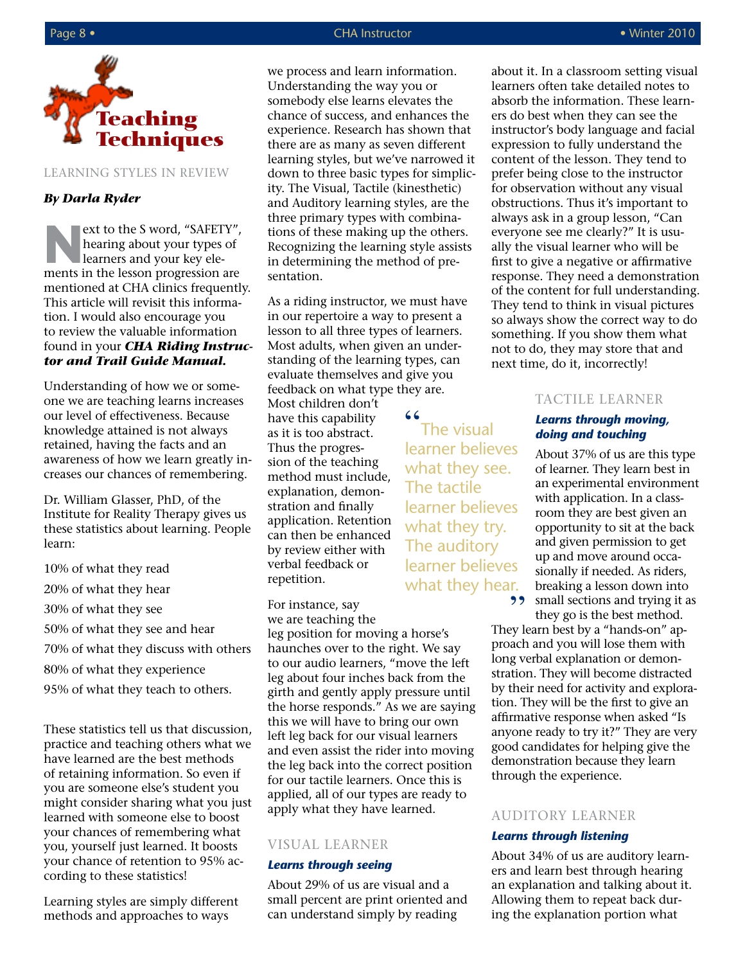

### Learning StyleS in Review

### *By Darla Ryder*

ext to the S word, "SAFETY", hearing about your types of learners and your key elements in the lesson progression are mentioned at CHA clinics frequently. This article will revisit this information. I would also encourage you to review the valuable information found in your *CHA Riding Instructor and Trail Guide Manual.*

Understanding of how we or someone we are teaching learns increases our level of effectiveness. Because knowledge attained is not always retained, having the facts and an awareness of how we learn greatly increases our chances of remembering.

Dr. William Glasser, PhD, of the Institute for Reality Therapy gives us these statistics about learning. People learn:

10% of what they read 20% of what they hear 30% of what they see 50% of what they see and hear 70% of what they discuss with others 80% of what they experience 95% of what they teach to others.

These statistics tell us that discussion, practice and teaching others what we have learned are the best methods of retaining information. So even if you are someone else's student you might consider sharing what you just learned with someone else to boost your chances of remembering what you, yourself just learned. It boosts your chance of retention to 95% according to these statistics!

Learning styles are simply different methods and approaches to ways

we process and learn information. Understanding the way you or somebody else learns elevates the chance of success, and enhances the experience. Research has shown that there are as many as seven different learning styles, but we've narrowed it down to three basic types for simplicity. The Visual, Tactile (kinesthetic) and Auditory learning styles, are the three primary types with combinations of these making up the others. Recognizing the learning style assists in determining the method of presentation.

As a riding instructor, we must have in our repertoire a way to present a lesson to all three types of learners. Most adults, when given an understanding of the learning types, can evaluate themselves and give you feedback on what type they are.

"

The visual learner believes what they see. The tactile

learner believes what they try. The auditory learner believes what they hear.

,,

Most children don't have this capability as it is too abstract. Thus the progression of the teaching method must include, explanation, demonstration and finally application. Retention can then be enhanced by review either with verbal feedback or repetition.

For instance, say we are teaching the leg position for moving a horse's haunches over to the right. We say to our audio learners, "move the left leg about four inches back from the girth and gently apply pressure until the horse responds." As we are saying this we will have to bring our own left leg back for our visual learners and even assist the rider into moving the leg back into the correct position for our tactile learners. Once this is

#### Visual Learner

#### *Learns through seeing*

About 29% of us are visual and a small percent are print oriented and can understand simply by reading

applied, all of our types are ready to apply what they have learned.

about it. In a classroom setting visual learners often take detailed notes to absorb the information. These learners do best when they can see the instructor's body language and facial expression to fully understand the content of the lesson. They tend to prefer being close to the instructor for observation without any visual obstructions. Thus it's important to always ask in a group lesson, "Can everyone see me clearly?" It is usually the visual learner who will be first to give a negative or affirmative response. They need a demonstration of the content for full understanding. They tend to think in visual pictures so always show the correct way to do something. If you show them what not to do, they may store that and next time, do it, incorrectly!

#### Tactile Learner

#### *Learns through moving, doing and touching*

About 37% of us are this type of learner. They learn best in an experimental environment with application. In a classroom they are best given an opportunity to sit at the back and given permission to get up and move around occasionally if needed. As riders, breaking a lesson down into small sections and trying it as they go is the best method.

They learn best by a "hands-on" approach and you will lose them with long verbal explanation or demonstration. They will become distracted by their need for activity and exploration. They will be the first to give an affirmative response when asked "Is anyone ready to try it?" They are very good candidates for helping give the demonstration because they learn through the experience.

# Auditory Learner

#### *Learns through listening*

About 34% of us are auditory learners and learn best through hearing an explanation and talking about it. Allowing them to repeat back during the explanation portion what